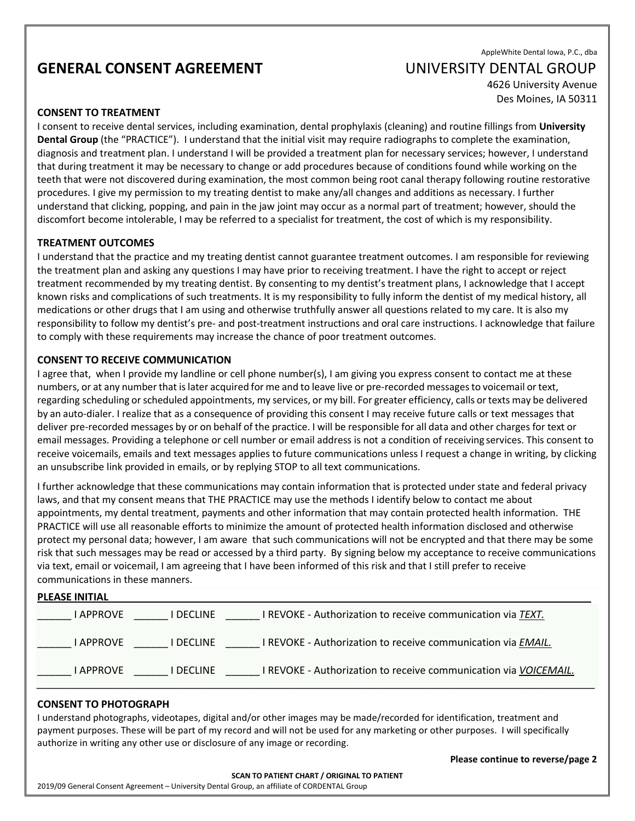## **GENERAL CONSENT AGREEMENT CONSERVERSITY DENTAL GROUP**

# AppleWhite Dental Iowa, P.C., dba

4626 University Avenue Des Moines, IA 50311

#### **CONSENT TO TREATMENT**

I consent to receive dental services, including examination, dental prophylaxis (cleaning) and routine fillings from **University Dental Group** (the "PRACTICE"). I understand that the initial visit may require radiographs to complete the examination, diagnosis and treatment plan. I understand I will be provided a treatment plan for necessary services; however, I understand that during treatment it may be necessary to change or add procedures because of conditions found while working on the teeth that were not discovered during examination, the most common being root canal therapy following routine restorative procedures. I give my permission to my treating dentist to make any/all changes and additions as necessary. I further understand that clicking, popping, and pain in the jaw joint may occur as a normal part of treatment; however, should the discomfort become intolerable, I may be referred to a specialist for treatment, the cost of which is my responsibility.

#### **TREATMENT OUTCOMES**

I understand that the practice and my treating dentist cannot guarantee treatment outcomes. I am responsible for reviewing the treatment plan and asking any questions I may have prior to receiving treatment. I have the right to accept or reject treatment recommended by my treating dentist. By consenting to my dentist's treatment plans, I acknowledge that I accept known risks and complications of such treatments. It is my responsibility to fully inform the dentist of my medical history, all medications or other drugs that I am using and otherwise truthfully answer all questions related to my care. It is also my responsibility to follow my dentist's pre- and post-treatment instructions and oral care instructions. I acknowledge that failure to comply with these requirements may increase the chance of poor treatment outcomes.

### **CONSENT TO RECEIVE COMMUNICATION**

I agree that, when I provide my landline or cell phone number(s), I am giving you express consent to contact me at these numbers, or at any number that is later acquired for me and to leave live or pre-recorded messages to voicemail or text, regarding scheduling orscheduled appointments, my services, or my bill. For greater efficiency, calls ortexts may be delivered by an auto-dialer. I realize that as a consequence of providing this consent I may receive future calls or text messages that deliver pre-recorded messages by or on behalf of the practice. I will be responsible for all data and other charges for text or email messages. Providing a telephone or cell number or email address is not a condition of receiving services. This consent to receive voicemails, emails and text messages applies to future communications unless I request a change in writing, by clicking an unsubscribe link provided in emails, or by replying STOP to all text communications.

I further acknowledge that these communications may contain information that is protected under state and federal privacy laws, and that my consent means that THE PRACTICE may use the methods I identify below to contact me about appointments, my dental treatment, payments and other information that may contain protected health information. THE PRACTICE will use all reasonable efforts to minimize the amount of protected health information disclosed and otherwise protect my personal data; however, I am aware that such communications will not be encrypted and that there may be some risk that such messages may be read or accessed by a third party. By signing below my acceptance to receive communications via text, email or voicemail, I am agreeing that I have been informed of this risk and that I still prefer to receive communications in these manners.

| <b>PLEASE INITIAL</b> |                |                                                                       |
|-----------------------|----------------|-----------------------------------------------------------------------|
| <b>LAPPROVE</b>       | <b>DECLINE</b> | I REVOKE - Authorization to receive communication via TEXT.           |
| I APPROVE             | I DECLINE      | I REVOKE - Authorization to receive communication via EMAIL.          |
| I APPROVE             | <b>DECLINE</b> | <b>REVOKE - Authorization to receive communication via VOICEMAIL.</b> |

#### **CONSENT TO PHOTOGRAPH**

I understand photographs, videotapes, digital and/or other images may be made/recorded for identification, treatment and payment purposes. These will be part of my record and will not be used for any marketing or other purposes. I will specifically authorize in writing any other use or disclosure of any image or recording.

2019/09 General Consent Agreement – University Dental Group, an affiliate of CORDENTAL Group